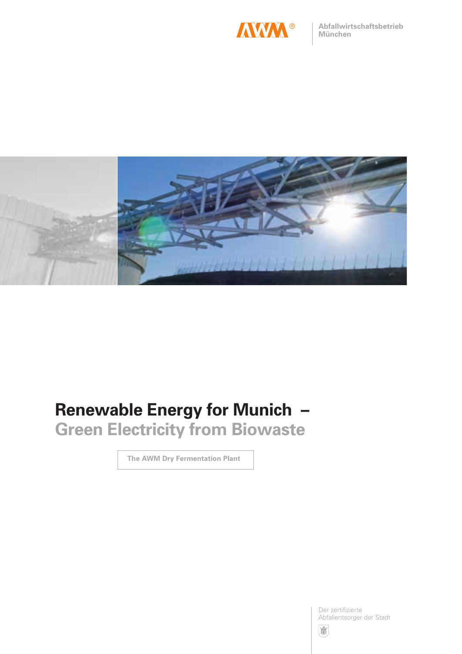

**Abfallwirtschaftsbetrieb München**



# **Renewable Energy for Munich – Green Electricity from Biowaste**

**The AWM Dry Fermentation Plant**

Der zertifizierte Abfallentsorger der Stadt

愉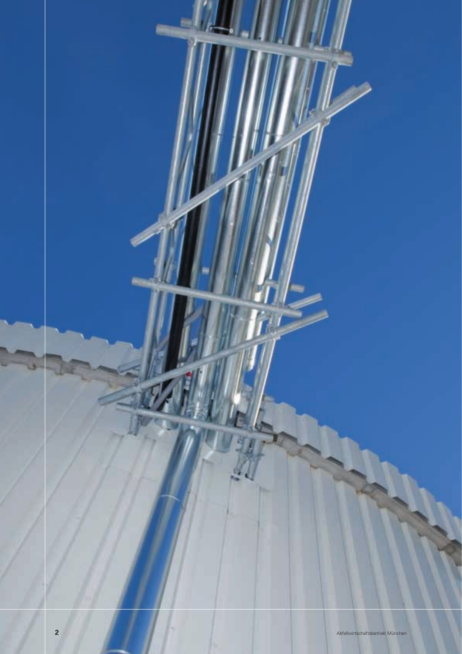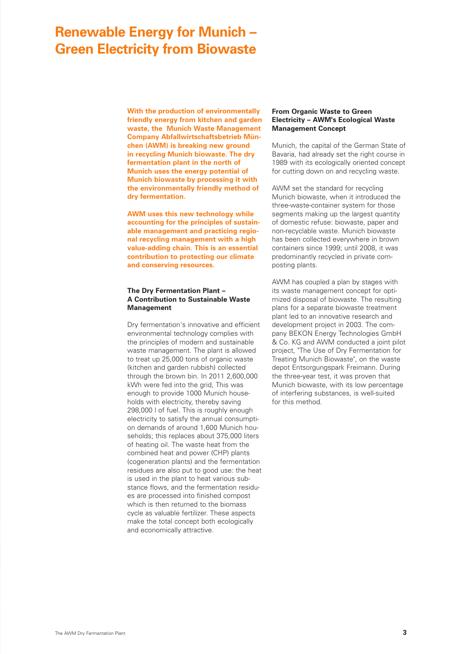## **Renewable Energy for Munich – Green Electricity from Biowaste**

**With the production of environmentally friendly energy from kitchen and garden waste, the Munich Waste Management Company Abfallwirtschaftsbetrieb München (AWM) is breaking new ground in recycling Munich biowaste. The dry fermentation plant in the north of Munich uses the energy potential of Munich biowaste by processing it with the environmentally friendly method of dry fermentation.** 

**AWM uses this new technology while accounting for the principles of sustainable management and practicing regional recycling management with a high value-adding chain. This is an essential contribution to protecting our climate and conserving resources.** 

#### **The Dry Fermentation Plant – A Contribution to Sustainable Waste Management**

Dry fermentation's innovative and efficient environmental technology complies with the principles of modern and sustainable waste management. The plant is allowed to treat up 25,000 tons of organic waste (kitchen and garden rubbish) collected through the brown bin. In 2011 2,600,000 kWh were fed into the grid, This was enough to provide 1000 Munich households with electricity, thereby saving 298,000 l of fuel. This is roughly enough electricity to satisfy the annual consumption demands of around 1,600 Munich households; this replaces about 375,000 liters of heating oil. The waste heat from the combined heat and power (CHP) plants (cogeneration plants) and the fermentation residues are also put to good use: the heat is used in the plant to heat various substance flows, and the fermentation residues are processed into finished compost which is then returned to the biomass cycle as valuable fertilizer. These aspects make the total concept both ecologically and economically attractive.

#### **From Organic Waste to Green Electricity – AWM's Ecological Waste Management Concept**

Munich, the capital of the German State of Bavaria, had already set the right course in 1989 with its ecologically oriented concept for cutting down on and recycling waste.

AWM set the standard for recycling Munich biowaste, when it introduced the three-waste-container system for those segments making up the largest quantity of domestic refuse: biowaste, paper and non-recyclable waste. Munich biowaste has been collected everywhere in brown containers since 1999; until 2008, it was predominantly recycled in private composting plants.

AWM has coupled a plan by stages with its waste management concept for optimized disposal of biowaste. The resulting plans for a separate biowaste treatment plant led to an innovative research and development project in 2003. The company BEKON Energy Technologies GmbH & Co. KG and AWM conducted a joint pilot project, "The Use of Dry Fermentation for Treating Munich Biowaste", on the waste depot Entsorgungspark Freimann. During the three-year test, it was proven that Munich biowaste, with its low percentage of interfering substances, is well-suited for this method.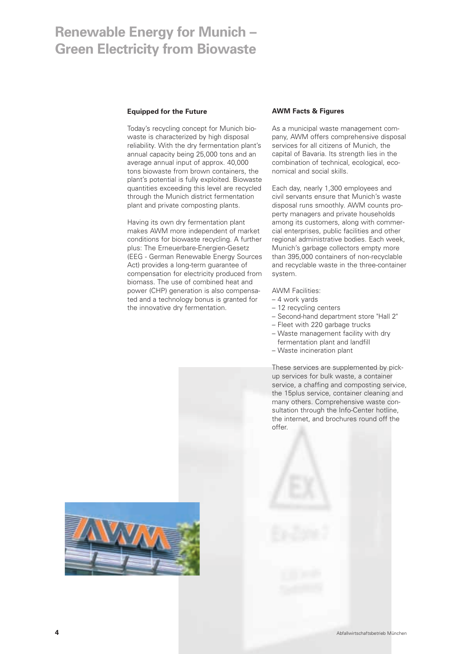## **Renewable Energy for Munich – Green Electricity from Biowaste**

#### **Equipped for the Future**

Today's recycling concept for Munich biowaste is characterized by high disposal reliability. With the dry fermentation plant's annual capacity being 25,000 tons and an average annual input of approx. 40,000 tons biowaste from brown containers, the plant's potential is fully exploited. Biowaste quantities exceeding this level are recycled through the Munich district fermentation plant and private composting plants.

Having its own dry fermentation plant makes AWM more independent of market conditions for biowaste recycling. A further plus: The Erneuerbare-Energien-Gesetz (EEG - German Renewable Energy Sources Act) provides a long-term guarantee of compensation for electricity produced from biomass. The use of combined heat and power (CHP) generation is also compensated and a technology bonus is granted for the innovative dry fermentation.

#### **AWM Facts & Figures**

As a municipal waste management company, AWM offers comprehensive disposal services for all citizens of Munich, the capital of Bavaria. Its strength lies in the combination of technical, ecological, economical and social skills.

Each day, nearly 1,300 employees and civil servants ensure that Munich's waste disposal runs smoothly. AWM counts property managers and private households among its customers, along with commercial enterprises, public facilities and other regional administrative bodies. Each week, Munich's garbage collectors empty more than 395,000 containers of non-recyclable and recyclable waste in the three-container system.

AWM Facilities:

- 4 work yards
- 12 recycling centers
- Second-hand department store "Hall 2"
- Fleet with 220 garbage trucks
- Waste management facility with dry
- fermentation plant and landfill
- Waste incineration plant

These services are supplemented by pickup services for bulk waste, a container service, a chaffing and composting service, the 15plus service, container cleaning and many others. Comprehensive waste consultation through the Info-Center hotline, the internet, and brochures round off the offer.

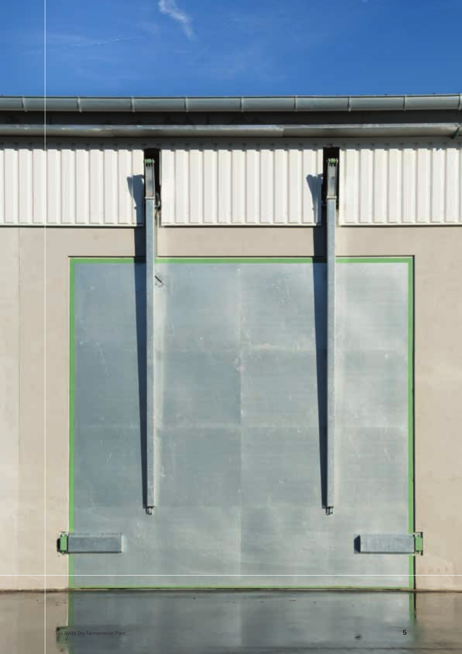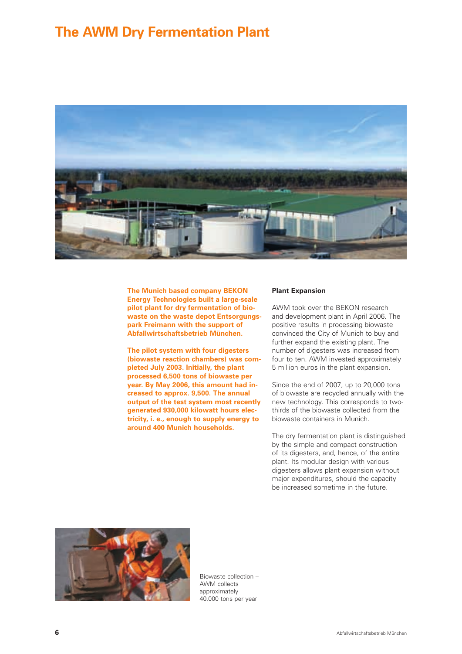## **The AWM Dry Fermentation Plant**



**The Munich based company BEKON Energy Technologies built a large-scale pilot plant for dry fermentation of biowaste on the waste depot Entsorgungspark Freimann with the support of Abfallwirtschaftsbetrieb München.** 

**The pilot system with four digesters (biowaste reaction chambers) was completed July 2003. Initially, the plant processed 6,500 tons of biowaste per year. By May 2006, this amount had in creased to approx. 9,500. The annual output of the test system most recently generated 930,000 kilowatt hours electricity, i. e., enough to supply energy to around 400 Munich households.** 

#### **Plant Expansion**

AWM took over the BEKON research and development plant in April 2006. The positive results in processing biowaste convinced the City of Munich to buy and further expand the existing plant. The number of digesters was increased from four to ten. AWM invested approximately 5 million euros in the plant expansion.

Since the end of 2007, up to 20,000 tons of biowaste are recycled annually with the new technology. This corresponds to twothirds of the biowaste collected from the biowaste containers in Munich.

The dry fermentation plant is distinguished by the simple and compact construction of its digesters, and, hence, of the entire plant. Its modular design with various digesters allows plant expansion without major expenditures, should the capacity be increased sometime in the future.



Biowaste collection – AWM collects approximately 40,000 tons per year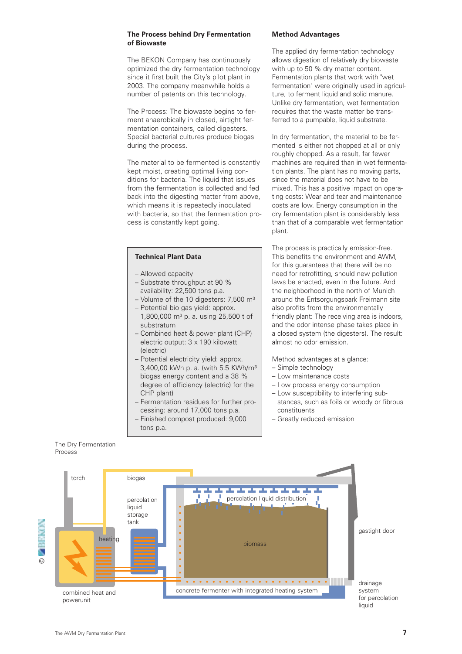#### **The Process behind Dry Fermentation of Biowaste**

The BEKON Company has continuously optimized the dry fermentation technology since it first built the City's pilot plant in 2003. The company meanwhile holds a number of patents on this technology.

The Process: The biowaste begins to ferment anaerobically in closed, airtight fermentation containers, called digesters. Special bacterial cultures produce biogas during the process.

The material to be fermented is constantly kept moist, creating optimal living conditions for bacteria. The liquid that issues from the fermentation is collected and fed back into the digesting matter from above, which means it is repeatedly inoculated with bacteria, so that the fermentation process is constantly kept going.

#### **Technical Plant Data**

- Allowed capacity
- Substrate throughput at 90 % availability: 22,500 tons p.a.
- Volume of the 10 digesters: 7,500 m<sup>3</sup> – Potential bio gas yield: approx.
- 1,800,000 m<sup>3</sup> p. a. using 25,500 t of substratum
- Combined heat & power plant (CHP) electric output: 3 x 190 kilowatt (electric)
- Potential electricity yield: approx. 3,400,00 kWh p. a. (with 5.5 KWh/m³ biogas energy content and a 38 % degree of efficiency (electric) for the CHP plant)
- Fermentation residues for further processing: around 17,000 tons p.a.
- Finished compost produced: 9,000 tons p.a.

#### **Method Advantages**

The applied dry fermentation technology allows digestion of relatively dry biowaste with up to 50 % dry matter content. Fermentation plants that work with "wet fermentation" were originally used in agriculture, to ferment liquid and solid manure. Unlike dry fermentation, wet fermentation requires that the waste matter be transferred to a pumpable, liquid substrate.

In dry fermentation, the material to be fermented is either not chopped at all or only roughly chopped. As a result, far fewer machines are required than in wet fermentation plants. The plant has no moving parts, since the material does not have to be mixed. This has a positive impact on operating costs: Wear and tear and maintenance costs are low. Energy consumption in the dry fermentation plant is considerably less than that of a comparable wet fermentation plant.

The process is practically emission-free. This benefits the environment and AWM, for this guarantees that there will be no need for retrofitting, should new pollution laws be enacted, even in the future. And the neighborhood in the north of Munich around the Entsorgungspark Freimann site also profits from the environmentally friendly plant: The receiving area is indoors, and the odor intense phase takes place in a closed system (the digesters). The result: almost no odor emission.

Method advantages at a glance:

- Simple technology
- Low maintenance costs
- Low process energy consumption
- Low susceptibility to interfering substances, such as foils or woody or fibrous constituents
- Greatly reduced emission



The Dry Fermentation Process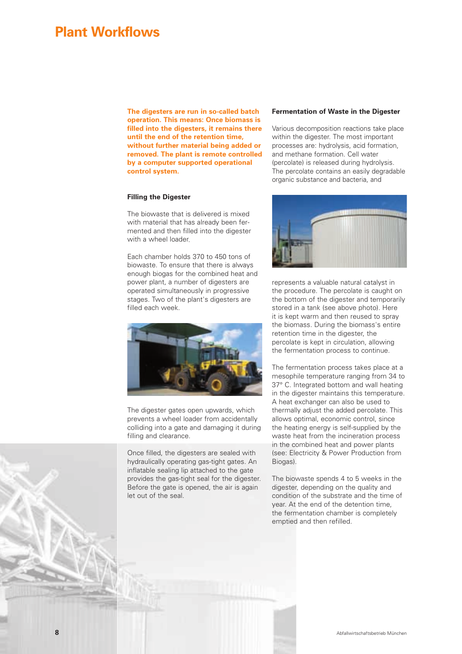## **Plant Workflows**

**The digesters are run in so-called batch operation. This means: Once biomass is filled into the digesters, it remains there until the end of the retention time, without further material being added or removed. The plant is remote controlled by a computer supported operational control system.** 

#### **Filling the Digester**

The biowaste that is delivered is mixed with material that has already been fermented and then filled into the digester with a wheel loader.

Each chamber holds 370 to 450 tons of biowaste. To ensure that there is always enough biogas for the combined heat and power plant, a number of digesters are operated simultaneously in progressive stages. Two of the plant's digesters are filled each week.



The digester gates open upwards, which prevents a wheel loader from accidentally colliding into a gate and damaging it during filling and clearance.

Once filled, the digesters are sealed with hydraulically operating gas-tight gates. An inflatable sealing lip attached to the gate provides the gas-tight seal for the digester. Before the gate is opened, the air is again let out of the seal.

#### **Fermentation of Waste in the Digester**

Various decomposition reactions take place within the digester. The most important processes are: hydrolysis, acid formation, and methane formation. Cell water (percolate) is released during hydrolysis. The percolate contains an easily degradable organic substance and bacteria, and



represents a valuable natural catalyst in the procedure. The percolate is caught on the bottom of the digester and temporarily stored in a tank (see above photo). Here it is kept warm and then reused to spray the biomass. During the biomass's entire retention time in the digester, the percolate is kept in circulation, allowing the fermentation process to continue.

The fermentation process takes place at a mesophile temperature ranging from 34 to 37° C. Integrated bottom and wall heating in the digester maintains this temperature. A heat exchanger can also be used to thermally adjust the added percolate. This allows optimal, economic control, since the heating energy is self-supplied by the waste heat from the incineration process in the combined heat and power plants (see: Electricity & Power Production from Biogas).

The biowaste spends 4 to 5 weeks in the digester, depending on the quality and condition of the substrate and the time of year. At the end of the detention time, the fermentation chamber is completely emptied and then refilled.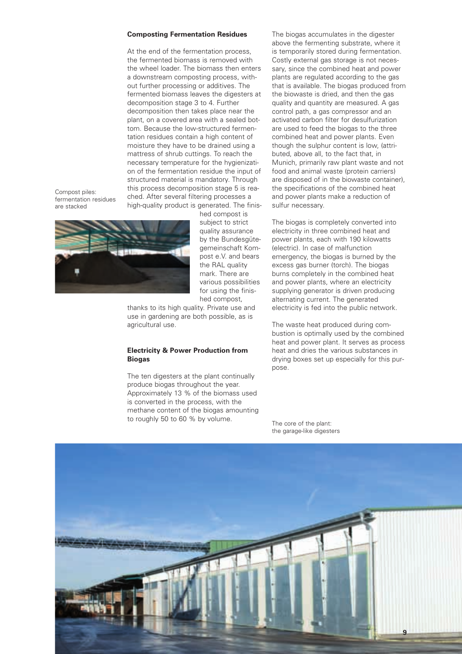#### **Composting Fermentation Residues**

At the end of the fermentation process, the fermented biomass is removed with the wheel loader. The biomass then enters a downstream composting process, without further processing or additives. The fermented biomass leaves the digesters at decomposition stage 3 to 4. Further decomposition then takes place near the plant, on a covered area with a sealed bottom. Because the low-structured fermentation residues contain a high content of moisture they have to be drained using a mattress of shrub cuttings. To reach the necessary temperature for the hygienization of the fermentation residue the input of structured material is mandatory. Through this process decomposition stage 5 is reached. After several filtering processes a high-quality product is generated. The finis-

Compost piles: fermentation residues are stacked



hed compost is subject to strict quality assurance by the Bundesgütegemeinschaft Kompost e.V. and bears the RAL quality mark. There are various possibilities for using the finished compost,

thanks to its high quality. Private use and use in gardening are both possible, as is agricultural use.

#### **Electricity & Power Production from Biogas**

The ten digesters at the plant continually produce biogas throughout the year. Approximately 13 % of the biomass used is converted in the process, with the methane content of the biogas amounting to roughly 50 to 60 % by volume.

The biogas accumulates in the digester above the fermenting substrate, where it is temporarily stored during fermentation. Costly external gas storage is not necessary, since the combined heat and power plants are regulated according to the gas that is available. The biogas produced from the biowaste is dried, and then the gas quality and quantity are measured. A gas control path, a gas compressor and an activated carbon filter for desulfurization are used to feed the biogas to the three combined heat and power plants. Even though the sulphur content is low, (attributed, above all, to the fact that, in Munich, primarily raw plant waste and not food and animal waste (protein carriers) are disposed of in the biowaste container), the specifications of the combined heat and power plants make a reduction of sulfur necessary.

The biogas is completely converted into electricity in three combined heat and power plants, each with 190 kilowatts (electric). In case of malfunction emergency, the biogas is burned by the excess gas burner (torch). The biogas burns completely in the combined heat and power plants, where an electricity supplying generator is driven producing alternating current. The generated electricity is fed into the public network.

The waste heat produced during combustion is optimally used by the combined heat and power plant. It serves as process heat and dries the various substances in drying boxes set up especially for this purpose.

The core of the plant: the garage-like digesters

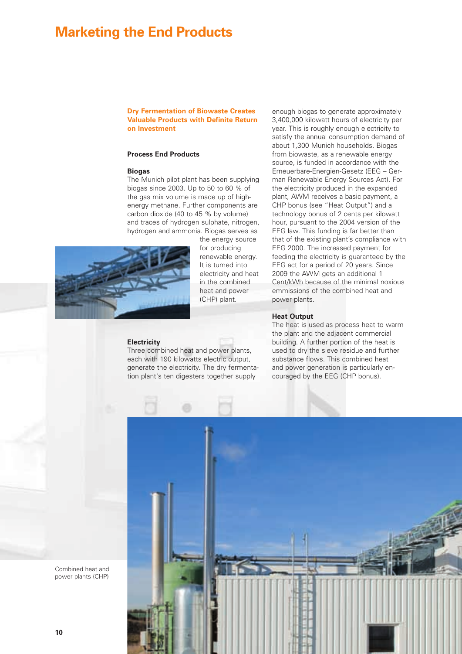### **Marketing the End Products**

#### **Dry Fermentation of Biowaste Creates Valuable Products with Definite Return on Investment**

#### **Process End Products**

#### **Biogas**

The Munich pilot plant has been supplying biogas since 2003. Up to 50 to 60 % of the gas mix volume is made up of highenergy methane. Further components are carbon dioxide (40 to 45 % by volume) and traces of hydrogen sulphate, nitrogen, hydrogen and ammonia. Biogas serves as



the energy source for producing renewable energy. It is turned into electricity and heat in the combined heat and power (CHP) plant.

#### **Electricity**

Three combined heat and power plants, each with 190 kilowatts electric output, generate the electricity. The dry fermentation plant's ten digesters together supply

enough biogas to generate approximately 3,400,000 kilowatt hours of electricity per year. This is roughly enough electricity to satisfy the annual consumption demand of about 1,300 Munich households. Biogas from biowaste, as a renewable energy source, is funded in accordance with the Erneuerbare-Energien-Gesetz (EEG – German Renewable Energy Sources Act). For the electricity produced in the expanded plant, AWM receives a basic payment, a CHP bonus (see "Heat Output") and a technology bonus of 2 cents per kilowatt hour, pursuant to the 2004 version of the EEG law. This funding is far better than that of the existing plant's compliance with EEG 2000. The increased payment for feeding the electricity is guaranteed by the EEG act for a period of 20 years. Since 2009 the AWM gets an additional 1 Cent/kWh because of the minimal noxious emmissions of the combined heat and power plants.

#### **Heat Output**

The heat is used as process heat to warm the plant and the adjacent commercial building. A further portion of the heat is used to dry the sieve residue and further substance flows. This combined heat and power generation is particularly encouraged by the EEG (CHP bonus).



Combined heat and power plants (CHP)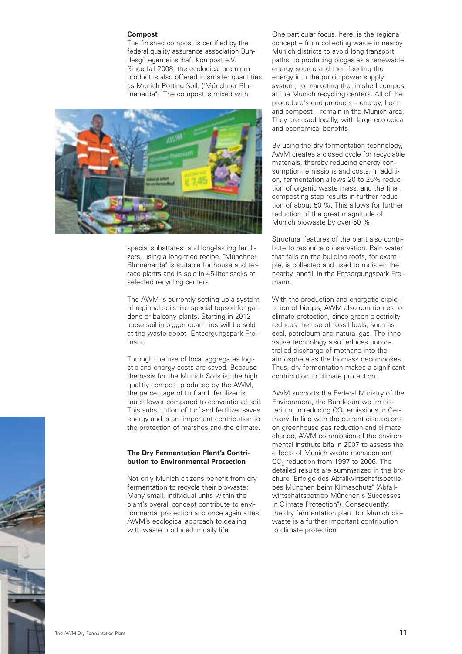#### **Compost**

The finished compost is certified by the federal quality assurance association Bundesgütegemeinschaft Kompost e.V. Since fall 2008, the ecological premium product is also offered in smaller quantities as Munich Potting Soil, ("Münchner Blumenerde"). The compost is mixed with



special substrates and long-lasting fertilizers, using a long-tried recipe. "Münchner Blumenerde" is suitable for house and terrace plants and is sold in 45-liter sacks at selected recycling centers

The AWM is currently setting up a system of regional soils like special topsoil for gardens or balcony plants. Starting in 2012 loose soil in bigger quantities will be sold at the waste depot Entsorgungspark Freimann.

Through the use of local aggregates logistic and energy costs are saved. Because the basis for the Munich Soils ist the high qualitiy compost produced by the AWM, the percentage of turf and fertilizer is much lower compared to conventional soil. This substitution of turf and fertilizer saves energy and is an important contribution to the protection of marshes and the climate.

#### **The Dry Fermentation Plant's Contribution to Environmental Protection**

Not only Munich citizens benefit from dry fermentation to recycle their biowaste: Many small, individual units within the plant's overall concept contribute to environmental protection and once again attest AWM's ecological approach to dealing with waste produced in daily life.

One particular focus, here, is the regional concept – from collecting waste in nearby Munich districts to avoid long transport paths, to producing biogas as a renewable energy source and then feeding the energy into the public power supply system, to marketing the finished compost at the Munich recycling centers. All of the procedure's end products – energy, heat and compost – remain in the Munich area. They are used locally, with large ecological and economical benefits.

By using the dry fermentation technology, AWM creates a closed cycle for recyclable materials, thereby reducing energy consumption, emissions and costs. In addition, fermentation allows 20 to 25% reduction of organic waste mass, and the final composting step results in further reduction of about 50 %. This allows for further reduction of the great magnitude of Munich biowaste by over 50 %.

Structural features of the plant also contribute to resource conservation. Rain water that falls on the building roofs, for example, is collected and used to moisten the nearby landfill in the Entsorgungspark Freimann.

With the production and energetic exploitation of biogas, AWM also contributes to climate protection, since green electricity reduces the use of fossil fuels, such as coal, petroleum and natural gas. The innovative technology also reduces uncontrolled discharge of methane into the atmosphere as the biomass decomposes. Thus, dry fermentation makes a significant contribution to climate protection.

AWM supports the Federal Ministry of the Environment, the Bundesumweltministerium, in reducing  $CO<sub>2</sub>$  emissions in Germany. In line with the current discussions on greenhouse gas reduction and climate change, AWM commissioned the environmental institute bifa in 2007 to assess the effects of Munich waste management  $CO<sub>2</sub>$  reduction from 1997 to 2006. The detailed results are summarized in the brochure "Erfolge des Abfallwirtschaftsbetriebes München beim Klimaschutz" (Abfallwirtschaftsbetrieb München's Successes in Climate Protection"). Consequently, the dry fermentation plant for Munich biowaste is a further important contribution to climate protection.